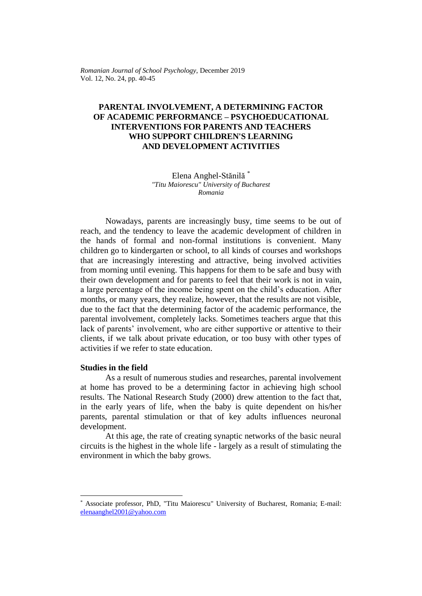*Romanian Journal of School Psychology*, December 2019 Vol. 12, No. 24, pp. 40-45

# **PARENTAL INVOLVEMENT, A DETERMINING FACTOR OF ACADEMIC PERFORMANCE – PSYCHOEDUCATIONAL INTERVENTIONS FOR PARENTS AND TEACHERS WHO SUPPORT CHILDREN'S LEARNING AND DEVELOPMENT ACTIVITIES**

Elena Anghel-Stănilă \* *"Titu Maiorescu" University of Bucharest Romania*

Nowadays, parents are increasingly busy, time seems to be out of reach, and the tendency to leave the academic development of children in the hands of formal and non-formal institutions is convenient. Many children go to kindergarten or school, to all kinds of courses and workshops that are increasingly interesting and attractive, being involved activities from morning until evening. This happens for them to be safe and busy with their own development and for parents to feel that their work is not in vain, a large percentage of the income being spent on the child's education. After months, or many years, they realize, however, that the results are not visible, due to the fact that the determining factor of the academic performance, the parental involvement, completely lacks. Sometimes teachers argue that this lack of parents' involvement, who are either supportive or attentive to their clients, if we talk about private education, or too busy with other types of activities if we refer to state education.

#### **Studies in the field**

As a result of numerous studies and researches, parental involvement at home has proved to be a determining factor in achieving high school results. The National Research Study (2000) drew attention to the fact that, in the early years of life, when the baby is quite dependent on his/her parents, parental stimulation or that of key adults influences neuronal development.

At this age, the rate of creating synaptic networks of the basic neural circuits is the highest in the whole life - largely as a result of stimulating the environment in which the baby grows.

<sup>\*</sup> Associate professor, PhD, "Titu Maiorescu" University of Bucharest, Romania; E-mail: [elenaanghel2001@yahoo.com](mailto:elenaanghel2001@yahoo.com)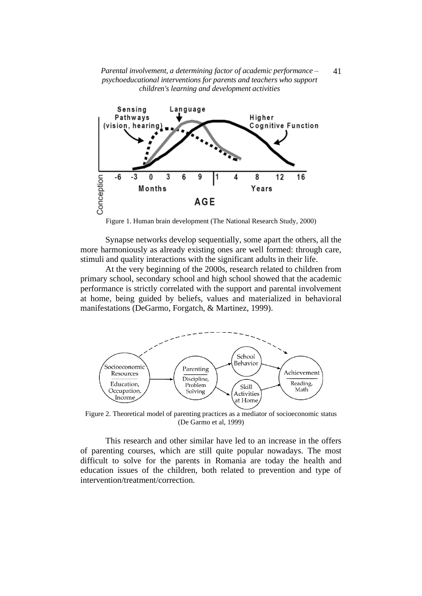*Parental involvement, a determining factor of academic performance – psychoeducational interventions for parents and teachers who support children's learning and development activities*



Figure 1. Human brain development (The National Research Study, 2000)

Synapse networks develop sequentially, some apart the others, all the more harmoniously as already existing ones are well formed: through care, stimuli and quality interactions with the significant adults in their life.

At the very beginning of the 2000s, research related to children from primary school, secondary school and high school showed that the academic performance is strictly correlated with the support and parental involvement at home, being guided by beliefs, values and materialized in behavioral manifestations (DeGarmo, Forgatch, & Martinez, 1999).



Figure 2. Theoretical model of parenting practices as a mediator of socioeconomic status (De Garmo et al, 1999)

This research and other similar have led to an increase in the offers of parenting courses, which are still quite popular nowadays. The most difficult to solve for the parents in Romania are today the health and education issues of the children, both related to prevention and type of intervention/treatment/correction.

41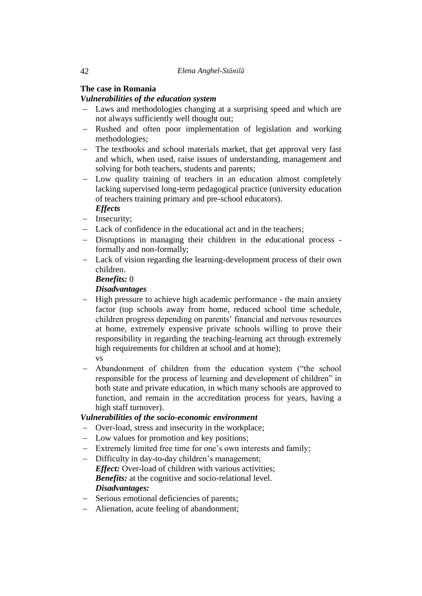# **The case in Romania**

# *Vulnerabilities of the education system*

- − Laws and methodologies changing at a surprising speed and which are not always sufficiently well thought out;
- − Rushed and often poor implementation of legislation and working methodologies;
- − The textbooks and school materials market, that get approval very fast and which, when used, raise issues of understanding, management and solving for both teachers, students and parents;
- − Low quality training of teachers in an education almost completely lacking supervised long-term pedagogical practice (university education of teachers training primary and pre-school educators). *Effects*
- − Insecurity;
- − Lack of confidence in the educational act and in the teachers;
- − Disruptions in managing their children in the educational process formally and non-formally;
- − Lack of vision regarding the learning-development process of their own children.

#### *Benefits:* 0

## *Disadvantages*

- − High pressure to achieve high academic performance the main anxiety factor (top schools away from home, reduced school time schedule, children progress depending on parents' financial and nervous resources at home, extremely expensive private schools willing to prove their responsibility in regarding the teaching-learning act through extremely high requirements for children at school and at home); vs
- − Abandonment of children from the education system ("the school responsible for the process of learning and development of children" in both state and private education, in which many schools are approved to function, and remain in the accreditation process for years, having a high staff turnover).

## *Vulnerabilities of the socio-economic environment*

- − Over-load, stress and insecurity in the workplace;
- − Low values for promotion and key positions;
- − Extremely limited free time for one's own interests and family;
- − Difficulty in day-to-day children's management; *Effect:* Over-load of children with various activities; **Benefits:** at the cognitive and socio-relational level. *Disadvantages:*
- − Serious emotional deficiencies of parents;
- − Alienation, acute feeling of abandonment;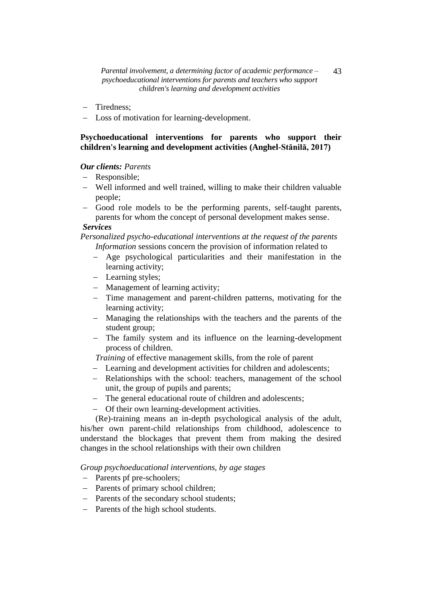- − Tiredness;
- − Loss of motivation for learning-development.

## **Psychoeducational interventions for parents who support their children's learning and development activities (Anghel-Stănilă, 2017)**

### *Our clients: Parents*

- − Responsible;
- − Well informed and well trained, willing to make their children valuable people;
- Good role models to be the performing parents, self-taught parents, parents for whom the concept of personal development makes sense.

## *Services*

*Personalized psycho-educational interventions at the request of the parents*

- *Information* sessions concern the provision of information related to
- − Age psychological particularities and their manifestation in the learning activity;
- − Learning styles;
- − Management of learning activity;
- − Time management and parent-children patterns, motivating for the learning activity;
- − Managing the relationships with the teachers and the parents of the student group;
- − The family system and its influence on the learning-development process of children.
- *Training* of effective management skills, from the role of parent
- − Learning and development activities for children and adolescents;
- − Relationships with the school: teachers, management of the school unit, the group of pupils and parents;
- − The general educational route of children and adolescents;
- − Of their own learning-development activities.

(Re)-training means an in-depth psychological analysis of the adult, his/her own parent-child relationships from childhood, adolescence to understand the blockages that prevent them from making the desired changes in the school relationships with their own children

*Group psychoeducational interventions, by age stages*

- − Parents pf pre-schoolers;
- − Parents of primary school children;
- − Parents of the secondary school students;
- − Parents of the high school students.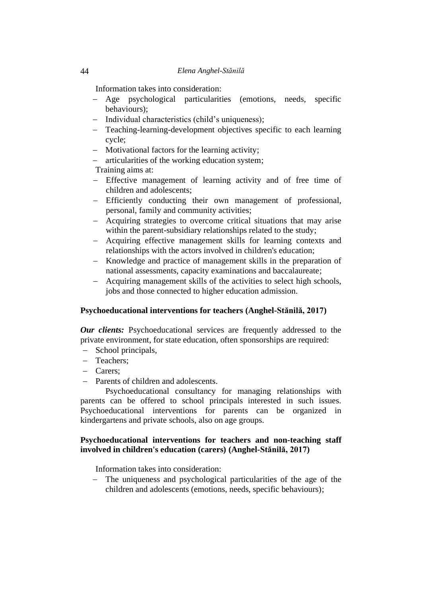Information takes into consideration:

- − Age psychological particularities (emotions, needs, specific behaviours);
- − Individual characteristics (child's uniqueness);
- − Teaching-learning-development objectives specific to each learning cycle;
- − Motivational factors for the learning activity;
- − articularities of the working education system;

Training aims at:

- − Effective management of learning activity and of free time of children and adolescents;
- − Efficiently conducting their own management of professional, personal, family and community activities;
- − Acquiring strategies to overcome critical situations that may arise within the parent-subsidiary relationships related to the study;
- − Acquiring effective management skills for learning contexts and relationships with the actors involved in children's education;
- − Knowledge and practice of management skills in the preparation of national assessments, capacity examinations and baccalaureate;
- − Acquiring management skills of the activities to select high schools, jobs and those connected to higher education admission.

#### **Psychoeducational interventions for teachers (Anghel-Stănilă, 2017)**

*Our clients:* Psychoeducational services are frequently addressed to the private environment, for state education, often sponsorships are required:

- − School principals,
- − Teachers;
- − Carers;
- Parents of children and adolescents.

Psychoeducational consultancy for managing relationships with parents can be offered to school principals interested in such issues. Psychoeducational interventions for parents can be organized in kindergartens and private schools, also on age groups.

### **Psychoeducational interventions for teachers and non-teaching staff involved in children's education (carers) (Anghel-Stănilă, 2017)**

Information takes into consideration:

− The uniqueness and psychological particularities of the age of the children and adolescents (emotions, needs, specific behaviours);